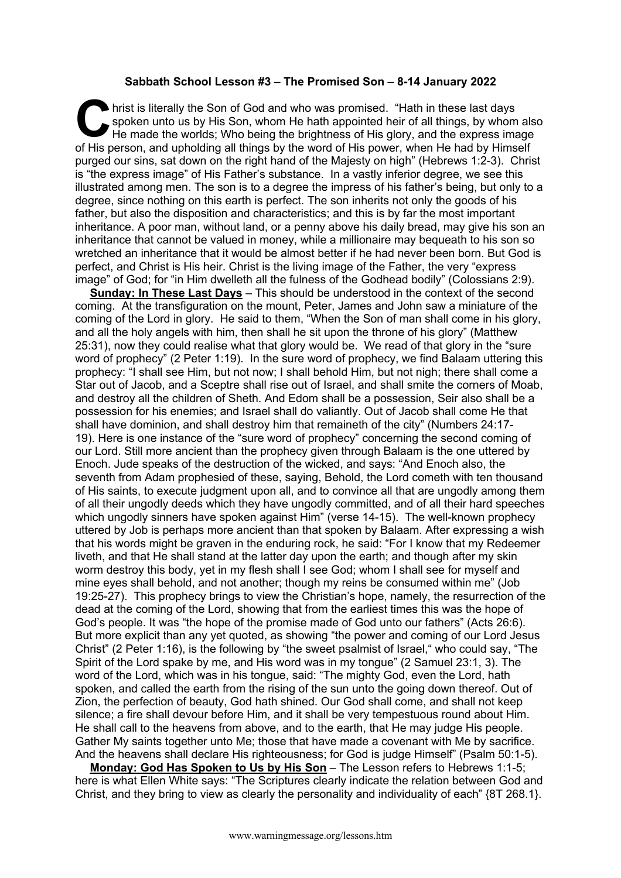## **Sabbath School Lesson #3 – The Promised Son – 8-14 January 2022**

hrist is literally the Son of God and who was promised. "Hath in these last days spoken unto us by His Son, whom He hath appointed heir of all things, by whom He made the worlds; Who being the brightness of His glory, and spoken unto us by His Son, whom He hath appointed heir of all things, by whom also He made the worlds: Who being the brightness of His glory, and the express image of His person, and upholding all things by the word of His power, when He had by Himself purged our sins, sat down on the right hand of the Majesty on high" (Hebrews 1:2-3). Christ is "the express image" of His Father's substance. In a vastly inferior degree, we see this illustrated among men. The son is to a degree the impress of his father's being, but only to a degree, since nothing on this earth is perfect. The son inherits not only the goods of his father, but also the disposition and characteristics; and this is by far the most important inheritance. A poor man, without land, or a penny above his daily bread, may give his son an inheritance that cannot be valued in money, while a millionaire may bequeath to his son so wretched an inheritance that it would be almost better if he had never been born. But God is perfect, and Christ is His heir. Christ is the living image of the Father, the very "express image" of God; for "in Him dwelleth all the fulness of the Godhead bodily" (Colossians 2:9).

**Sunday: In These Last Days** – This should be understood in the context of the second coming. At the transfiguration on the mount, Peter, James and John saw a miniature of the coming of the Lord in glory. He said to them, "When the Son of man shall come in his glory, and all the holy angels with him, then shall he sit upon the throne of his glory" (Matthew 25:31), now they could realise what that glory would be. We read of that glory in the "sure word of prophecy" (2 Peter 1:19). In the sure word of prophecy, we find Balaam uttering this prophecy: "I shall see Him, but not now; I shall behold Him, but not nigh; there shall come a Star out of Jacob, and a Sceptre shall rise out of Israel, and shall smite the corners of Moab, and destroy all the children of Sheth. And Edom shall be a possession, Seir also shall be a possession for his enemies; and Israel shall do valiantly. Out of Jacob shall come He that shall have dominion, and shall destroy him that remaineth of the city" (Numbers 24:17- 19). Here is one instance of the "sure word of prophecy" concerning the second coming of our Lord. Still more ancient than the prophecy given through Balaam is the one uttered by Enoch. Jude speaks of the destruction of the wicked, and says: "And Enoch also, the seventh from Adam prophesied of these, saying, Behold, the Lord cometh with ten thousand of His saints, to execute judgment upon all, and to convince all that are ungodly among them of all their ungodly deeds which they have ungodly committed, and of all their hard speeches which ungodly sinners have spoken against Him" (verse 14-15). The well-known prophecy uttered by Job is perhaps more ancient than that spoken by Balaam. After expressing a wish that his words might be graven in the enduring rock, he said: "For I know that my Redeemer liveth, and that He shall stand at the latter day upon the earth; and though after my skin worm destroy this body, yet in my flesh shall I see God; whom I shall see for myself and mine eyes shall behold, and not another; though my reins be consumed within me" (Job 19:25-27). This prophecy brings to view the Christian's hope, namely, the resurrection of the dead at the coming of the Lord, showing that from the earliest times this was the hope of God's people. It was "the hope of the promise made of God unto our fathers" (Acts 26:6). But more explicit than any yet quoted, as showing "the power and coming of our Lord Jesus Christ" (2 Peter 1:16), is the following by "the sweet psalmist of Israel," who could say, "The Spirit of the Lord spake by me, and His word was in my tongue" (2 Samuel 23:1, 3). The word of the Lord, which was in his tongue, said: "The mighty God, even the Lord, hath spoken, and called the earth from the rising of the sun unto the going down thereof. Out of Zion, the perfection of beauty, God hath shined. Our God shall come, and shall not keep silence; a fire shall devour before Him, and it shall be very tempestuous round about Him. He shall call to the heavens from above, and to the earth, that He may judge His people. Gather My saints together unto Me; those that have made a covenant with Me by sacrifice. And the heavens shall declare His righteousness; for God is judge Himself" (Psalm 50:1-5).

**Monday: God Has Spoken to Us by His Son** – The Lesson refers to Hebrews 1:1-5; here is what Ellen White says: "The Scriptures clearly indicate the relation between God and Christ, and they bring to view as clearly the personality and individuality of each" {8T 268.1}.